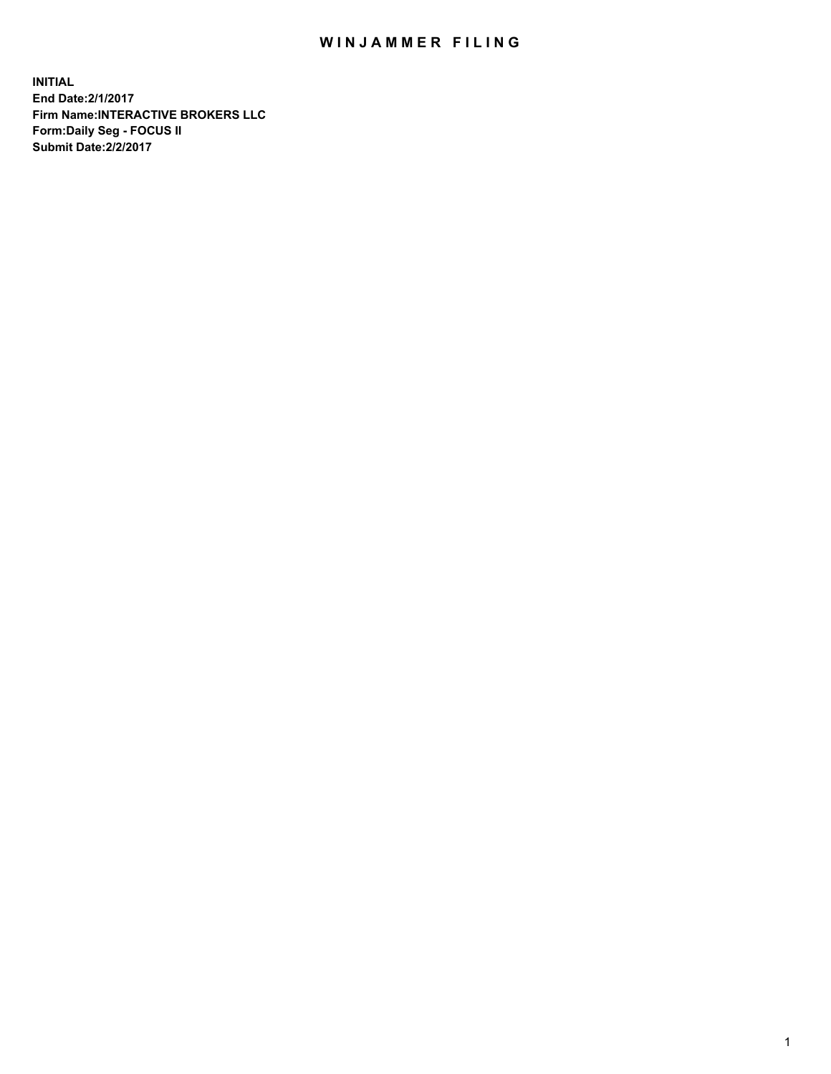## WIN JAMMER FILING

**INITIAL End Date:2/1/2017 Firm Name:INTERACTIVE BROKERS LLC Form:Daily Seg - FOCUS II Submit Date:2/2/2017**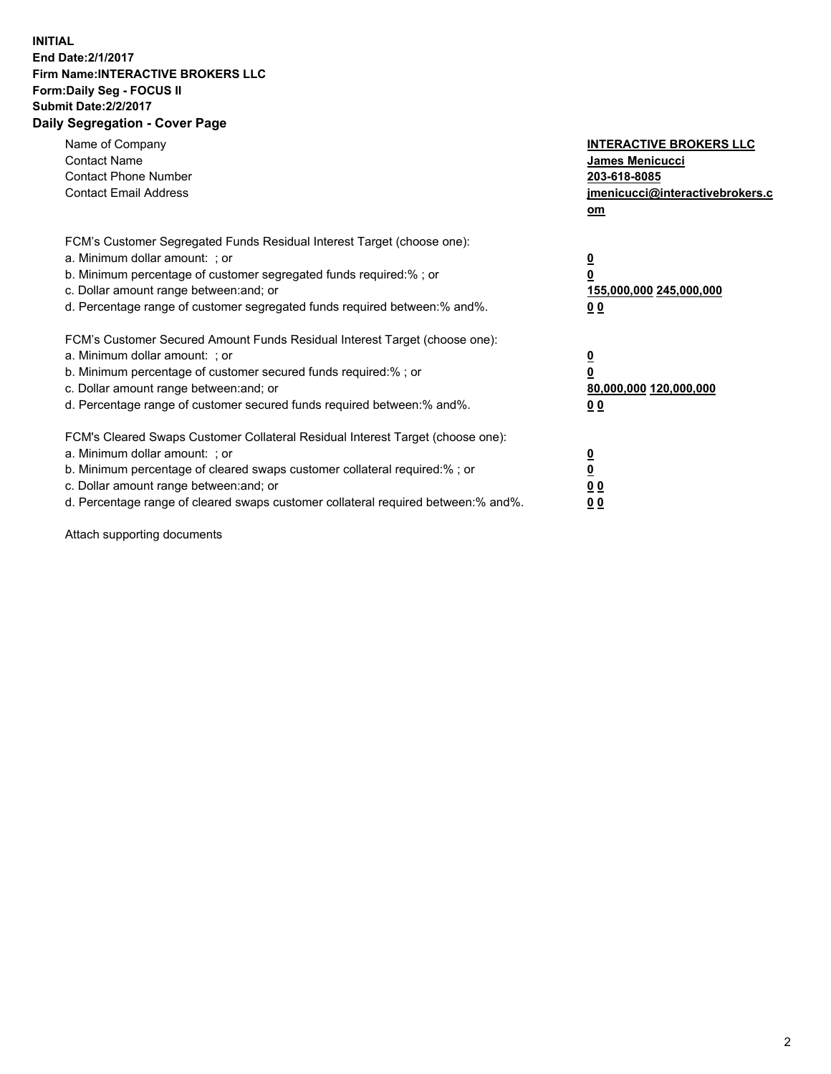## **INITIAL End Date:2/1/2017 Firm Name:INTERACTIVE BROKERS LLC Form:Daily Seg - FOCUS II Submit Date:2/2/2017 Daily Segregation - Cover Page**

| Name of Company<br><b>Contact Name</b><br><b>Contact Phone Number</b><br><b>Contact Email Address</b>                                                                                                                                                                                                                          | <b>INTERACTIVE BROKERS LLC</b><br>James Menicucci<br>203-618-8085<br>jmenicucci@interactivebrokers.c<br>om |
|--------------------------------------------------------------------------------------------------------------------------------------------------------------------------------------------------------------------------------------------------------------------------------------------------------------------------------|------------------------------------------------------------------------------------------------------------|
| FCM's Customer Segregated Funds Residual Interest Target (choose one):<br>a. Minimum dollar amount: ; or<br>b. Minimum percentage of customer segregated funds required:%; or<br>c. Dollar amount range between: and; or<br>d. Percentage range of customer segregated funds required between:% and%.                          | $\overline{\mathbf{0}}$<br>$\overline{\mathbf{0}}$<br>155,000,000 245,000,000<br>00                        |
| FCM's Customer Secured Amount Funds Residual Interest Target (choose one):<br>a. Minimum dollar amount: ; or<br>b. Minimum percentage of customer secured funds required:%; or<br>c. Dollar amount range between: and; or<br>d. Percentage range of customer secured funds required between: % and %.                          | $\overline{\mathbf{0}}$<br>0<br>80,000,000 120,000,000<br>00                                               |
| FCM's Cleared Swaps Customer Collateral Residual Interest Target (choose one):<br>a. Minimum dollar amount: ; or<br>b. Minimum percentage of cleared swaps customer collateral required:% ; or<br>c. Dollar amount range between: and; or<br>d. Percentage range of cleared swaps customer collateral required between:% and%. | $\overline{\mathbf{0}}$<br>$\underline{\mathbf{0}}$<br>0 <sub>0</sub><br>0 <sub>0</sub>                    |

Attach supporting documents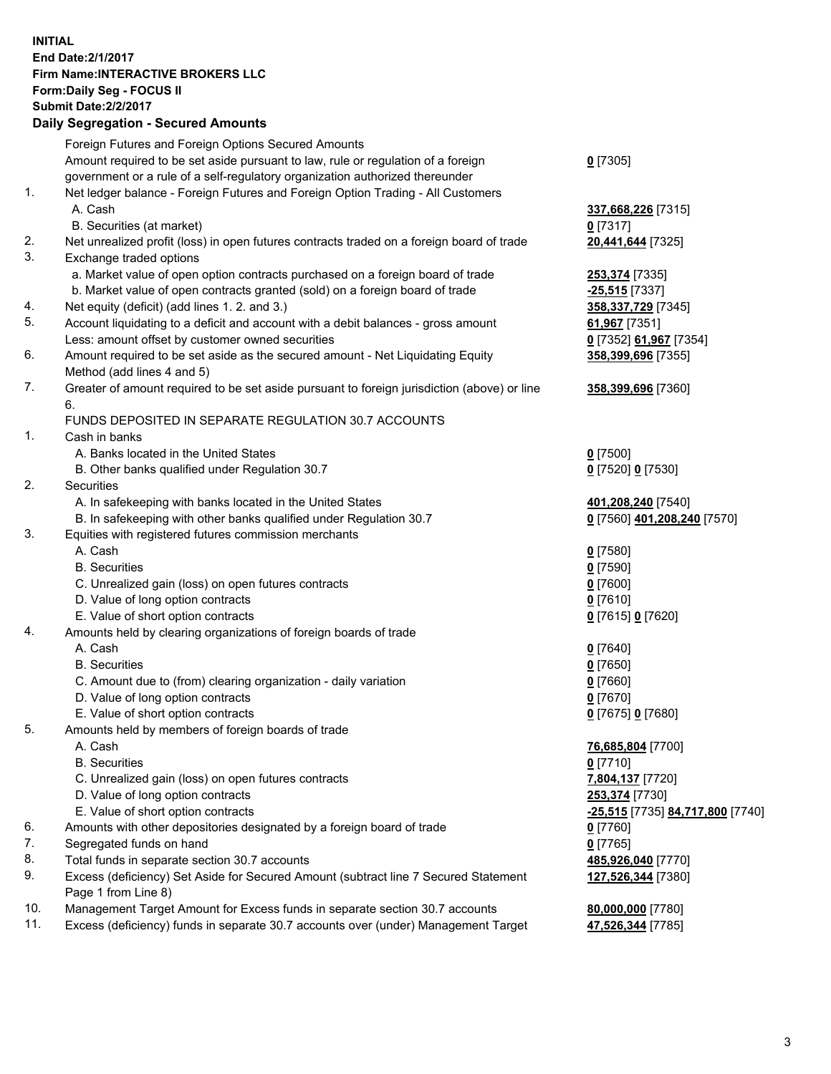## **INITIAL End Date:2/1/2017 Firm Name:INTERACTIVE BROKERS LLC Form:Daily Seg - FOCUS II Submit Date:2/2/2017 Daily Segregation - Secured Amounts**

|     | Foreign Futures and Foreign Options Secured Amounts                                         |                                  |
|-----|---------------------------------------------------------------------------------------------|----------------------------------|
|     | Amount required to be set aside pursuant to law, rule or regulation of a foreign            | $0$ [7305]                       |
|     | government or a rule of a self-regulatory organization authorized thereunder                |                                  |
| 1.  | Net ledger balance - Foreign Futures and Foreign Option Trading - All Customers             |                                  |
|     | A. Cash                                                                                     | 337,668,226 [7315]               |
|     | B. Securities (at market)                                                                   | $0$ [7317]                       |
| 2.  | Net unrealized profit (loss) in open futures contracts traded on a foreign board of trade   | 20,441,644 [7325]                |
| 3.  | Exchange traded options                                                                     |                                  |
|     | a. Market value of open option contracts purchased on a foreign board of trade              | 253,374 [7335]                   |
|     | b. Market value of open contracts granted (sold) on a foreign board of trade                | $-25,515$ [7337]                 |
| 4.  | Net equity (deficit) (add lines 1. 2. and 3.)                                               | 358, 337, 729 [7345]             |
| 5.  | Account liquidating to a deficit and account with a debit balances - gross amount           | 61,967 [7351]                    |
|     | Less: amount offset by customer owned securities                                            | 0 [7352] 61,967 [7354]           |
| 6.  | Amount required to be set aside as the secured amount - Net Liquidating Equity              | 358,399,696 [7355]               |
|     | Method (add lines 4 and 5)                                                                  |                                  |
| 7.  | Greater of amount required to be set aside pursuant to foreign jurisdiction (above) or line | 358,399,696 [7360]               |
|     | 6.                                                                                          |                                  |
|     | FUNDS DEPOSITED IN SEPARATE REGULATION 30.7 ACCOUNTS                                        |                                  |
| 1.  | Cash in banks                                                                               |                                  |
|     | A. Banks located in the United States                                                       | $0$ [7500]                       |
|     | B. Other banks qualified under Regulation 30.7                                              | 0 [7520] 0 [7530]                |
| 2.  | Securities                                                                                  |                                  |
|     | A. In safekeeping with banks located in the United States                                   | 401,208,240 [7540]               |
|     | B. In safekeeping with other banks qualified under Regulation 30.7                          | 0 [7560] 401,208,240 [7570]      |
| 3.  | Equities with registered futures commission merchants                                       |                                  |
|     | A. Cash                                                                                     | $0$ [7580]                       |
|     | <b>B.</b> Securities                                                                        | $0$ [7590]                       |
|     | C. Unrealized gain (loss) on open futures contracts                                         | $0$ [7600]                       |
|     | D. Value of long option contracts                                                           | $0$ [7610]                       |
|     | E. Value of short option contracts                                                          | 0 [7615] 0 [7620]                |
| 4.  | Amounts held by clearing organizations of foreign boards of trade                           |                                  |
|     | A. Cash                                                                                     | $0$ [7640]                       |
|     | <b>B.</b> Securities                                                                        | $0$ [7650]                       |
|     | C. Amount due to (from) clearing organization - daily variation                             | $0$ [7660]                       |
|     | D. Value of long option contracts                                                           | $0$ [7670]                       |
|     | E. Value of short option contracts                                                          | 0 [7675] 0 [7680]                |
| 5.  | Amounts held by members of foreign boards of trade                                          |                                  |
|     | A. Cash                                                                                     | 76,685,804 [7700]                |
|     | <b>B.</b> Securities                                                                        | $0$ [7710]                       |
|     | C. Unrealized gain (loss) on open futures contracts                                         | 7,804,137 [7720]                 |
|     | D. Value of long option contracts                                                           | 253,374 [7730]                   |
|     | E. Value of short option contracts                                                          | -25,515 [7735] 84,717,800 [7740] |
| 6.  | Amounts with other depositories designated by a foreign board of trade                      | 0 [7760]                         |
| 7.  | Segregated funds on hand                                                                    | $0$ [7765]                       |
| 8.  | Total funds in separate section 30.7 accounts                                               | 485,926,040 [7770]               |
| 9.  | Excess (deficiency) Set Aside for Secured Amount (subtract line 7 Secured Statement         | 127,526,344 [7380]               |
|     | Page 1 from Line 8)                                                                         |                                  |
| 10. | Management Target Amount for Excess funds in separate section 30.7 accounts                 | 80,000,000 [7780]                |
| 11. | Excess (deficiency) funds in separate 30.7 accounts over (under) Management Target          | 47,526,344 [7785]                |
|     |                                                                                             |                                  |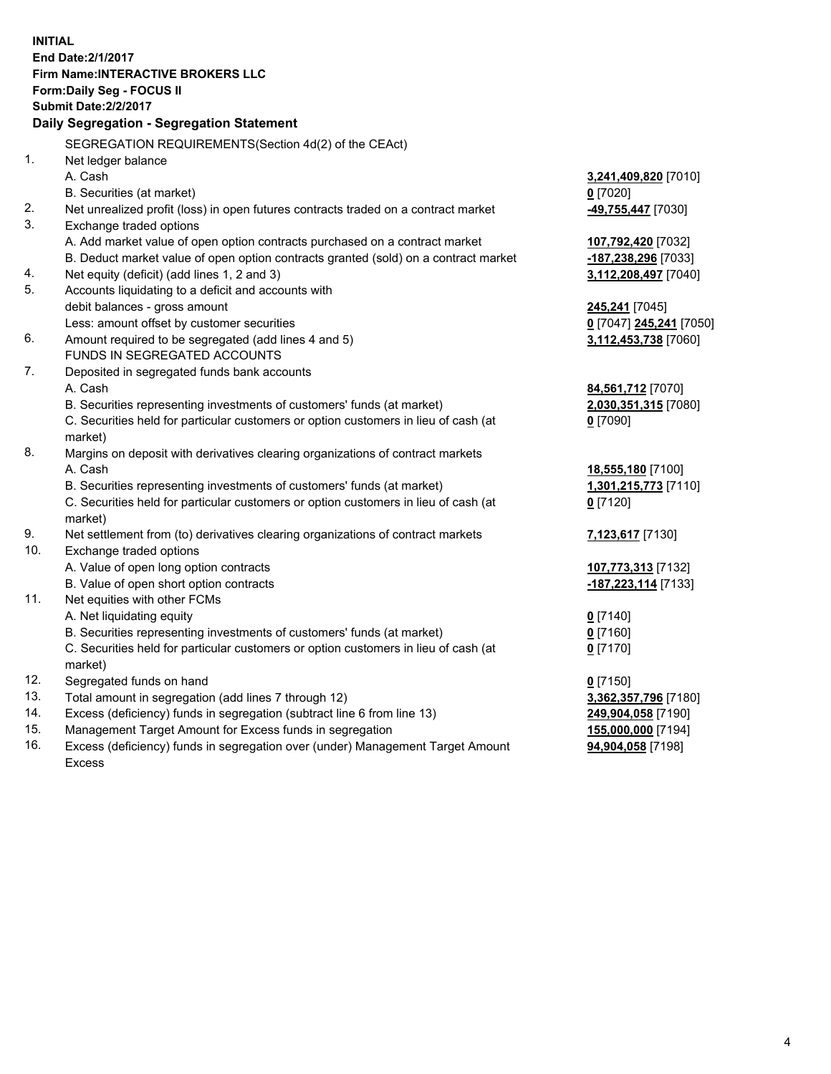**INITIAL End Date:2/1/2017 Firm Name:INTERACTIVE BROKERS LLC Form:Daily Seg - FOCUS II Submit Date:2/2/2017 Daily Segregation - Segregation Statement** SEGREGATION REQUIREMENTS(Section 4d(2) of the CEAct) 1. Net ledger balance A. Cash **3,241,409,820** [7010] B. Securities (at market) **0** [7020] 2. Net unrealized profit (loss) in open futures contracts traded on a contract market **-49,755,447** [7030] 3. Exchange traded options A. Add market value of open option contracts purchased on a contract market **107,792,420** [7032] B. Deduct market value of open option contracts granted (sold) on a contract market **-187,238,296** [7033] 4. Net equity (deficit) (add lines 1, 2 and 3) **3,112,208,497** [7040] 5. Accounts liquidating to a deficit and accounts with debit balances - gross amount **245,241** [7045] Less: amount offset by customer securities **0** [7047] **245,241** [7050] 6. Amount required to be segregated (add lines 4 and 5) **3,112,453,738** [7060] FUNDS IN SEGREGATED ACCOUNTS 7. Deposited in segregated funds bank accounts A. Cash **84,561,712** [7070] B. Securities representing investments of customers' funds (at market) **2,030,351,315** [7080] C. Securities held for particular customers or option customers in lieu of cash (at market) **0** [7090] 8. Margins on deposit with derivatives clearing organizations of contract markets A. Cash **18,555,180** [7100] B. Securities representing investments of customers' funds (at market) **1,301,215,773** [7110] C. Securities held for particular customers or option customers in lieu of cash (at market) **0** [7120] 9. Net settlement from (to) derivatives clearing organizations of contract markets **7,123,617** [7130] 10. Exchange traded options A. Value of open long option contracts **107,773,313** [7132] B. Value of open short option contracts **-187,223,114** [7133] 11. Net equities with other FCMs A. Net liquidating equity **0** [7140] B. Securities representing investments of customers' funds (at market) **0** [7160] C. Securities held for particular customers or option customers in lieu of cash (at market) **0** [7170] 12. Segregated funds on hand **0** [7150] 13. Total amount in segregation (add lines 7 through 12) **3,362,357,796** [7180] 14. Excess (deficiency) funds in segregation (subtract line 6 from line 13) **249,904,058** [7190] 15. Management Target Amount for Excess funds in segregation **155,000,000** [7194] **94,904,058** [7198]

16. Excess (deficiency) funds in segregation over (under) Management Target Amount Excess